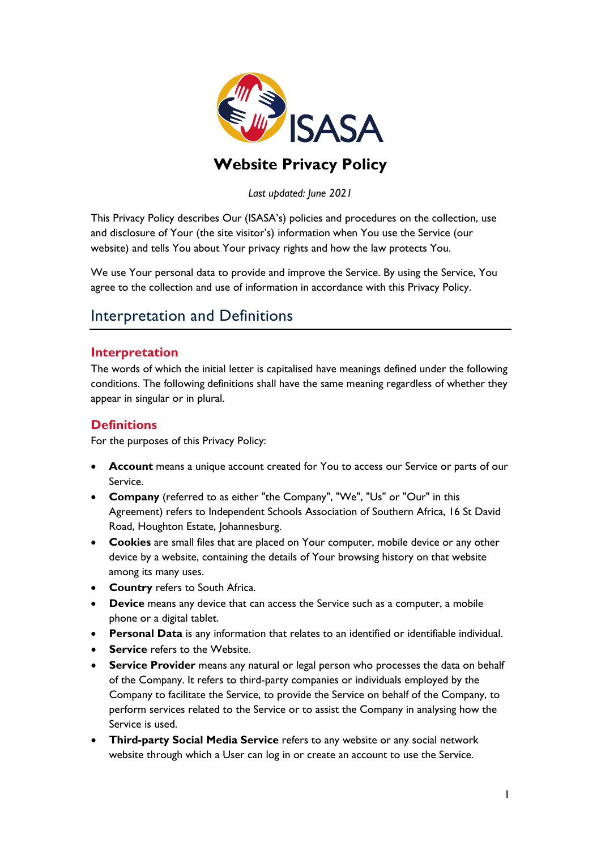

## **Website Privacy Policy**

*Last updated: June 2021*

This Privacy Policy describes Our (ISASA's) policies and procedures on the collection, use and disclosure of Your (the site visitor's) information when You use the Service (our website) and tells You about Your privacy rights and how the law protects You.

We use Your personal data to provide and improve the Service. By using the Service, You agree to the collection and use of information in accordance with this Privacy Policy.

## Interpretation and Definitions

#### **Interpretation**

The words of which the initial letter is capitalised have meanings defined under the following conditions. The following definitions shall have the same meaning regardless of whether they appear in singular or in plural.

#### **Definitions**

For the purposes of this Privacy Policy:

- **Account** means a unique account created for You to access our Service or parts of our Service.
- **Company** (referred to as either "the Company", "We", "Us" or "Our" in this Agreement) refers to Independent Schools Association of Southern Africa, 16 St David Road, Houghton Estate, Johannesburg.
- **Cookies** are small files that are placed on Your computer, mobile device or any other device by a website, containing the details of Your browsing history on that website among its many uses.
- **Country** refers to South Africa.
- **Device** means any device that can access the Service such as a computer, a mobile phone or a digital tablet.
- **Personal Data** is any information that relates to an identified or identifiable individual.
- **Service** refers to the Website.
- **Service Provider** means any natural or legal person who processes the data on behalf of the Company. It refers to third-party companies or individuals employed by the Company to facilitate the Service, to provide the Service on behalf of the Company, to perform services related to the Service or to assist the Company in analysing how the Service is used.
- **Third-party Social Media Service** refers to any website or any social network website through which a User can log in or create an account to use the Service.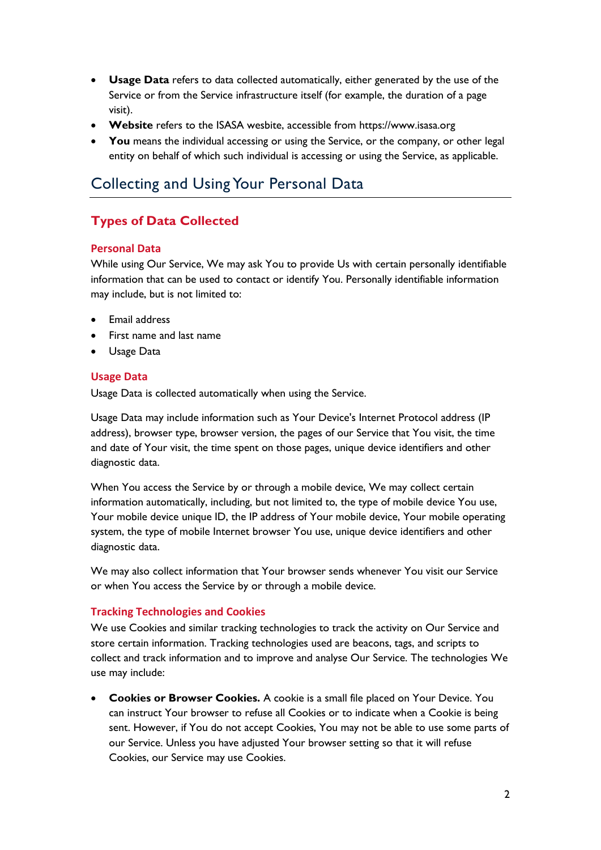- **Usage Data** refers to data collected automatically, either generated by the use of the Service or from the Service infrastructure itself (for example, the duration of a page visit).
- **Website** refers to the ISASA wesbite, accessible from [https://www.isasa.org](https://www.isasa.org/)
- **You** means the individual accessing or using the Service, or the company, or other legal entity on behalf of which such individual is accessing or using the Service, as applicable.

# Collecting and Using Your Personal Data

### **Types of Data Collected**

#### **Personal Data**

While using Our Service, We may ask You to provide Us with certain personally identifiable information that can be used to contact or identify You. Personally identifiable information may include, but is not limited to:

- Email address
- First name and last name
- Usage Data

#### **Usage Data**

Usage Data is collected automatically when using the Service.

Usage Data may include information such as Your Device's Internet Protocol address (IP address), browser type, browser version, the pages of our Service that You visit, the time and date of Your visit, the time spent on those pages, unique device identifiers and other diagnostic data.

When You access the Service by or through a mobile device, We may collect certain information automatically, including, but not limited to, the type of mobile device You use, Your mobile device unique ID, the IP address of Your mobile device, Your mobile operating system, the type of mobile Internet browser You use, unique device identifiers and other diagnostic data.

We may also collect information that Your browser sends whenever You visit our Service or when You access the Service by or through a mobile device.

#### **Tracking Technologies and Cookies**

We use Cookies and similar tracking technologies to track the activity on Our Service and store certain information. Tracking technologies used are beacons, tags, and scripts to collect and track information and to improve and analyse Our Service. The technologies We use may include:

• **Cookies or Browser Cookies.** A cookie is a small file placed on Your Device. You can instruct Your browser to refuse all Cookies or to indicate when a Cookie is being sent. However, if You do not accept Cookies, You may not be able to use some parts of our Service. Unless you have adjusted Your browser setting so that it will refuse Cookies, our Service may use Cookies.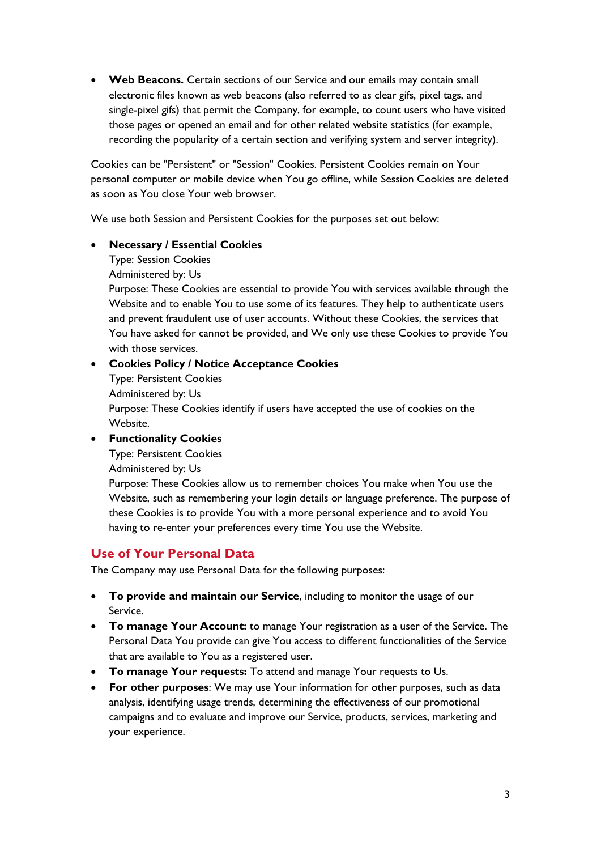• **Web Beacons.** Certain sections of our Service and our emails may contain small electronic files known as web beacons (also referred to as clear gifs, pixel tags, and single-pixel gifs) that permit the Company, for example, to count users who have visited those pages or opened an email and for other related website statistics (for example, recording the popularity of a certain section and verifying system and server integrity).

Cookies can be "Persistent" or "Session" Cookies. Persistent Cookies remain on Your personal computer or mobile device when You go offline, while Session Cookies are deleted as soon as You close Your web browser.

We use both Session and Persistent Cookies for the purposes set out below:

#### • **Necessary / Essential Cookies**

Type: Session Cookies

Administered by: Us

Purpose: These Cookies are essential to provide You with services available through the Website and to enable You to use some of its features. They help to authenticate users and prevent fraudulent use of user accounts. Without these Cookies, the services that You have asked for cannot be provided, and We only use these Cookies to provide You with those services.

#### • **Cookies Policy / Notice Acceptance Cookies**

Type: Persistent Cookies Administered by: Us Purpose: These Cookies identify if users have accepted the use of cookies on the Website.

#### • **Functionality Cookies**

Type: Persistent Cookies

Administered by: Us

Purpose: These Cookies allow us to remember choices You make when You use the Website, such as remembering your login details or language preference. The purpose of these Cookies is to provide You with a more personal experience and to avoid You having to re-enter your preferences every time You use the Website.

### **Use of Your Personal Data**

The Company may use Personal Data for the following purposes:

- **To provide and maintain our Service**, including to monitor the usage of our Service.
- **To manage Your Account:** to manage Your registration as a user of the Service. The Personal Data You provide can give You access to different functionalities of the Service that are available to You as a registered user.
- **To manage Your requests:** To attend and manage Your requests to Us.
- **For other purposes**: We may use Your information for other purposes, such as data analysis, identifying usage trends, determining the effectiveness of our promotional campaigns and to evaluate and improve our Service, products, services, marketing and your experience.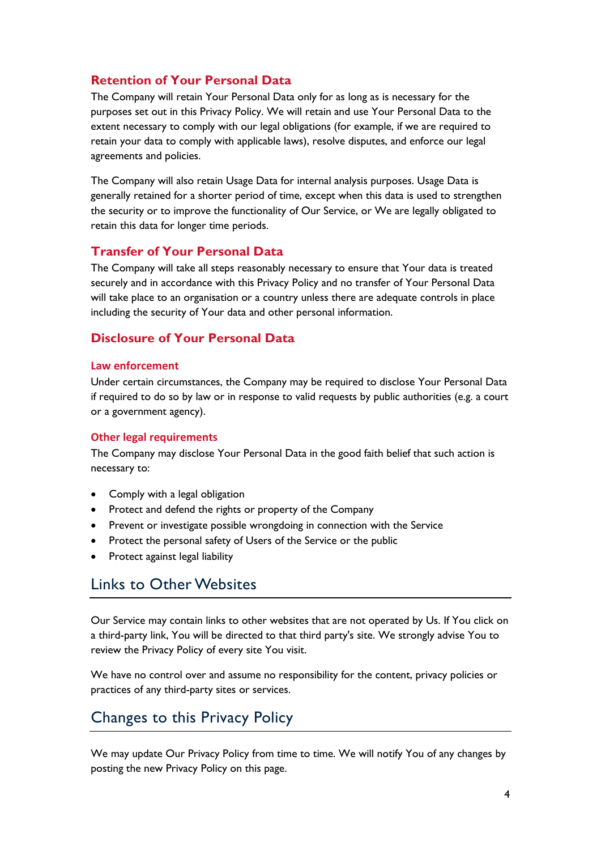### **Retention of Your Personal Data**

The Company will retain Your Personal Data only for as long as is necessary for the purposes set out in this Privacy Policy. We will retain and use Your Personal Data to the extent necessary to comply with our legal obligations (for example, if we are required to retain your data to comply with applicable laws), resolve disputes, and enforce our legal agreements and policies.

The Company will also retain Usage Data for internal analysis purposes. Usage Data is generally retained for a shorter period of time, except when this data is used to strengthen the security or to improve the functionality of Our Service, or We are legally obligated to retain this data for longer time periods.

#### **Transfer of Your Personal Data**

The Company will take all steps reasonably necessary to ensure that Your data is treated securely and in accordance with this Privacy Policy and no transfer of Your Personal Data will take place to an organisation or a country unless there are adequate controls in place including the security of Your data and other personal information.

### **Disclosure of Your Personal Data**

#### **Law enforcement**

Under certain circumstances, the Company may be required to disclose Your Personal Data if required to do so by law or in response to valid requests by public authorities (e.g. a court or a government agency).

#### **Other legal requirements**

The Company may disclose Your Personal Data in the good faith belief that such action is necessary to:

- Comply with a legal obligation
- Protect and defend the rights or property of the Company
- Prevent or investigate possible wrongdoing in connection with the Service
- Protect the personal safety of Users of the Service or the public
- Protect against legal liability

### Links to Other Websites

Our Service may contain links to other websites that are not operated by Us. If You click on a third-party link, You will be directed to that third party's site. We strongly advise You to review the Privacy Policy of every site You visit.

We have no control over and assume no responsibility for the content, privacy policies or practices of any third-party sites or services.

## Changes to this Privacy Policy

We may update Our Privacy Policy from time to time. We will notify You of any changes by posting the new Privacy Policy on this page.